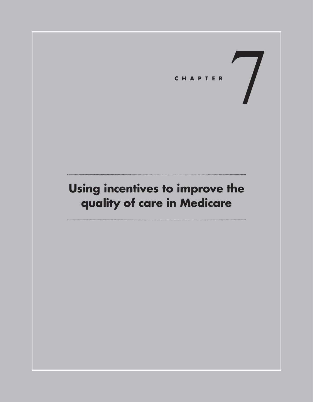# **Using incentives to improve the quality of care in Medicare**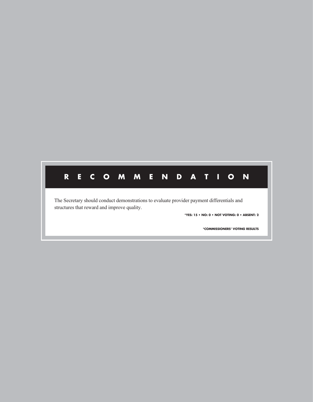# **RECOMMENDATION**

The Secretary should conduct demonstrations to evaluate provider payment differentials and structures that reward and improve quality.

**\*YES: 15 • NO: 0 • NOT VOTING: 0 • ABSENT: 2**

**\*COMMISSIONERS' VOTING RESULTS**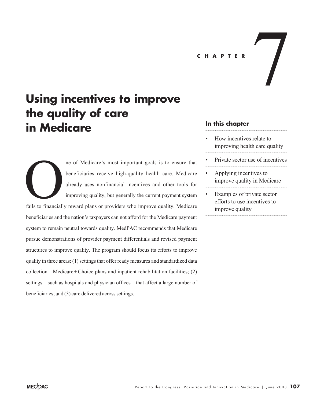# CHAPTER<br> **CHAPTER**

# **Using incentives to improve the quality of care in Medicare**

ne of Medicare's most important goals is to ensure that beneficiaries receive high-quality health care. Medicare already uses nonfinancial incentives and other tools for improving quality, but generally the current payment system

fails to financially reward plans or providers who improve quality. Medicare beneficiaries and the nation's taxpayers can not afford for the Medicare payment system to remain neutral towards quality. MedPAC recommends that Medicare pursue demonstrations of provider payment differentials and revised payment structures to improve quality. The program should focus its efforts to improve quality in three areas: (1) settings that offer ready measures and standardized data  $\text{collection—Medicare}+\text{Choice plans}$  and inpatient rehabilitation facilities; (2) settings—such as hospitals and physician offices—that affect a large number of beneficiaries; and (3) care delivered across settings. California de la financialidad de la financia de la financia de la financia de la financia de la financia de la financia de la financia de la financia de la financia de la financia de la financia de la financia de la finan

### **In this chapter**

- How incentives relate to improving health care quality
- Private sector use of incentives
- Applying incentives to improve quality in Medicare
- Examples of private sector efforts to use incentives to improve quality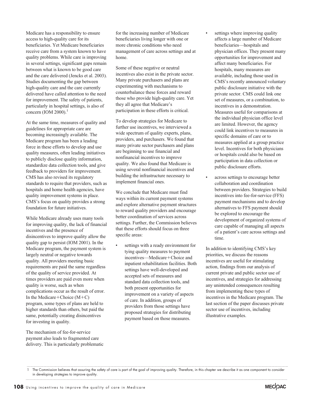Medicare has a responsibility to ensure access to high-quality care for its beneficiaries. Yet Medicare beneficiaries receive care from a system known to have quality problems. While care is improving in several settings, significant gaps remain between what is known to be good care and the care delivered (Jencks et al. 2003). Studies documenting the gap between high-quality care and the care currently delivered have called attention to the need for improvement. The safety of patients, particularly in hospital settings, is also of concern (IOM 2000). $<sup>1</sup>$ </sup>

At the same time, measures of quality and guidelines for appropriate care are becoming increasingly available. The Medicare program has been a leading force in these efforts to develop and use quality measures, often leading initiatives to publicly disclose quality information, standardize data collection tools, and give feedback to providers for improvement. CMS has also revised its regulatory standards to require that providers, such as hospitals and home health agencies, have quality improvement systems in place. CMS's focus on quality provides a strong foundation for future initiatives.

While Medicare already uses many tools for improving quality, the lack of financial incentives and the presence of disincentives to improve quality allow the quality gap to persist (IOM 2001). In the Medicare program, the payment system is largely neutral or negative towards quality. All providers meeting basic requirements are paid the same regardless of the quality of service provided. At times providers are paid even more when quality is worse, such as when complications occur as the result of error. In the Medicare+Choice  $(M+C)$ program, some types of plans are held to higher standards than others, but paid the same, potentially creating disincentives for investing in quality.

The mechanism of fee-for-service payment also leads to fragmented care delivery. This is particularly problematic

for the increasing number of Medicare beneficiaries living longer with one or more chronic conditions who need management of care across settings and at home.

Some of these negative or neutral incentives also exist in the private sector. Many private purchasers and plans are experimenting with mechanisms to counterbalance these forces and reward those who provide high-quality care. Yet they all agree that Medicare's participation in these efforts is critical.

To develop strategies for Medicare to further use incentives, we interviewed a wide spectrum of quality experts, plans, providers, and purchasers. We found that many private sector purchasers and plans are beginning to use financial and nonfinancial incentives to improve quality. We also found that Medicare is using several nonfinancial incentives and building the infrastructure necessary to implement financial ones.

We conclude that Medicare must find ways within its current payment systems and explore alternative payment structures to reward quality providers and encourage better coordination of services across settings. Further, the Commission believes that these efforts should focus on three specific areas:

settings with a ready environment for tying quality measures to payment  $incentives$ —Medicare + Choice and inpatient rehabilitation facilities. Both settings have well-developed and accepted sets of measures and standard data collection tools, and both present opportunities for improvement on a variety of aspects of care. In addition, groups of providers from those settings have proposed strategies for distributing payment based on those measures.

- settings where improving quality affects a large number of Medicare beneficiaries—hospitals and physician offices. They present many opportunities for improvement and affect many beneficiaries. For hospitals, many measures are available, including those used in CMS's recently announced voluntary public disclosure initiative with the private sector. CMS could link one set of measures, or a combination, to incentives in a demonstration. Measures useful for comparisons at the individual physician office level are limited. However, the agency could link incentives to measures in specific domains of care or to measures applied at a group practice level. Incentives for both physicians or hospitals could also be based on participation in data collection or public disclosure efforts.
- across settings to encourage better collaboration and coordination between providers. Strategies to build incentives into fee-for-service (FFS) payment mechanisms and to develop alternatives to FFS payment should be explored to encourage the development of organized systems of care capable of managing all aspects of a patient's care across settings and time.

In addition to identifying CMS's key priorities, we discuss the reasons incentives are useful for stimulating action, findings from our analysis of current private and public sector use of incentives, and strategies for addressing any unintended consequences resulting from implementing these types of incentives in the Medicare program. The last section of the paper discusses private sector use of incentives, including illustrative examples.



The Commission believes that assuring the safety of care is part of the goal of improving quality. Therefore, in this chapter we describe it as one component to consider in developing strategies to improve quality.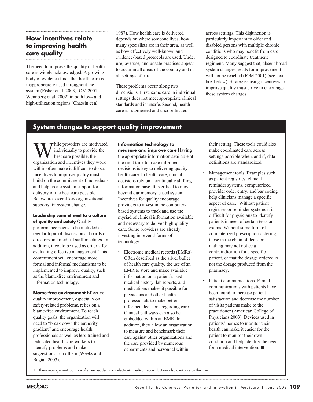## **How incentives relate to improving health care quality**

The need to improve the quality of health care is widely acknowledged. A growing body of evidence finds that health care is inappropriately used throughout the system (Fisher et al. 2003, IOM 2001, Wennberg et al. 2002) in both low- and high-utilization regions (Chassin et al.

1987). How health care is delivered depends on where someone lives, how many specialists are in their area, as well as how effectively well-known and evidence-based protocols are used. Under use, overuse, and unsafe practices appear to occur in all areas of the country and in all settings of care.

These problems occur along two dimensions. First, some care in individual settings does not meet appropriate clinical standards and is unsafe. Second, health care is fragmented and uncoordinated

across settings. This disjunction is particularly important to older and disabled persons with multiple chronic conditions who may benefit from care designed to coordinate treatment regimens. Many suggest that, absent broad system changes, goals for improvement will not be reached (IOM 2001) (see text box below). Strategies using incentives to improve quality must strive to encourage these system changes.

### **System changes to support quality improvement**

hile providers are motivated individually to provide the best care possible, the organization and incentives they work within often make it difficult to do so. Incentives to improve quality must build on the commitment of individuals and help create system support for delivery of the best care possible. Below are several key organizational supports for system change.

### **Leadership commitment to a culture of quality and safety** Quality

performance needs to be included as a regular topic of discussion at boards of directors and medical staff meetings. In addition, it could be used as criteria for evaluating effective management. This commitment will encourage more formal and informal mechanisms to be implemented to improve quality, such as the blame-free environment and information technology.

**Blame-free environment** Effective quality improvement, especially on safety-related problems, relies on a blame-free environment. To reach quality goals, the organization will need to "break down the authority gradient" and encourage health professionals as well as less-trained and -educated health care workers to identify problems and make suggestions to fix them (Weeks and Bagian 2003).

**Information technology to**

**measure and improve care** Having the appropriate information available at the right time to make informed decisions is key to delivering quality health care. In health care, crucial decisions rely on a continually shifting information base. It is critical to move beyond our memory-based system. Incentives for quality encourage providers to invest in the computerbased systems to track and use the myriad of clinical information available and necessary to deliver high-quality care. Some providers are already investing in several forms of technology:

• Electronic medical records (EMRs). Often described as the silver bullet of health care quality, the use of an EMR to store and make available information on a patient's past medical history, lab reports, and medications makes it possible for physicians and other health professionals to make betterinformed decisions regarding care. Clinical pathways can also be embedded within an EMR. In addition, they allow an organization to measure and benchmark their care against other organizations and the care provided by numerous departments and personnel within

their setting. These tools could also make coordinated care across settings possible when, and if, data definitions are standardized.

- Management tools. Examples such as patient registries, clinical reminder systems, computerized provider order entry, and bar coding help clinicians manage a specific aspect of care.<sup>1</sup> Without patient registries or reminder systems it is difficult for physicians to identify patients in need of certain tests or exams. Without some form of computerized prescription ordering, those in the chain of decision making may not notice a contraindication for a specific patient, or that the dosage ordered is not the dosage produced from the pharmacy.
- Patient communications. E-mail communications with patients have been found to increase patient satisfaction and decrease the number of visits patients make to the practitioner (American College of Physicians 2003). Devices used in patients' homes to monitor their health can make it easier for the patient to monitor their own condition and help identify the need for a medical intervention.

1 These management tools are often embedded in an electronic medical record, but are also available on their own.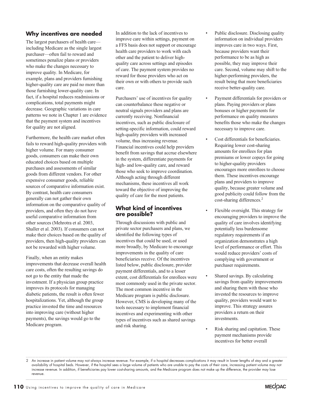### **Why incentives are needed**

The largest purchasers of health care including Medicare as the single largest purchaser—often fail to reward and sometimes penalize plans or providers who make the changes necessary to improve quality. In Medicare, for example, plans and providers furnishing higher-quality care are paid no more than those furnishing lower-quality care. In fact, if a hospital reduces readmissions or complications, total payments might decrease. Geographic variations in care patterns we note in Chapter 1 are evidence that the payment system and incentives for quality are not aligned.

Furthermore, the health care market often fails to reward high-quality providers with higher volume. For many consumer goods, consumers can make their own educated choices based on multiple purchases and assessments of similar goods from different vendors. For other expensive consumer goods, reliable sources of comparative information exist. By contrast, health care consumers generally can not gather their own information on the comparative quality of providers, and often they do not have useful comparative information from other sources (Mehrotra et al. 2003, Shaller et al. 2003). If consumers can not make their choices based on the quality of providers, then high-quality providers can not be rewarded with higher volume.

Finally, when an entity makes improvements that decrease overall health care costs, often the resulting savings do not go to the entity that made the investment. If a physician group practice improves its protocols for managing diabetic patients, the result is often fewer hospitalizations. Yet, although the group practice invested the time and resources into improving care (without higher payments), the savings would go to the Medicare program.

In addition to the lack of incentives to improve care within settings, payment on a FFS basis does not support or encourage health care providers to work with each other and the patient to deliver highquality care across settings and episodes of care. The payment system provides no reward for those providers who act on their own or with others to provide such care.

Purchasers' use of incentives for quality can counterbalance these negative or neutral signals providers and plans are currently receiving. Nonfinancial incentives, such as public disclosure of setting-specific information, could reward high-quality providers with increased volume, thus increasing revenue. Financial incentives could help providers benefit from savings that accrue elsewhere in the system, differentiate payments for high- and low-quality care, and reward those who seek to improve coordination. Although acting through different mechanisms, these incentives all work toward the objective of improving the quality of care for the most patients.

### **What kind of incentives are possible?**

Through discussions with public and private sector purchasers and plans, we identified the following types of incentives that could be used, or used more broadly, by Medicare to encourage improvements in the quality of care beneficiaries receive. Of the incentives listed below, public disclosure, provider payment differentials, and to a lesser extent, cost differentials for enrollees were most commonly used in the private sector. The most common incentive in the Medicare program is public disclosure. However, CMS is developing many of the tools necessary to implement financial incentives and experimenting with other types of incentives such as shared savings and risk sharing.

- Public disclosure. Disclosing quality information on individual providers improves care in two ways. First, because providers want their performance to be as high as possible, they may improve their care. Second, volume may shift to the higher-performing providers, the result being that more beneficiaries receive better-quality care.
- Payment differentials for providers or plans. Paying providers or plans bonuses or higher payments for performance on quality measures benefits those who make the changes necessary to improve care.
- Cost differentials for beneficiaries. Requiring lower cost-sharing amounts for enrollees for plan premiums or lower copays for going to higher-quality providers encourages more enrollees to choose them. These incentives encourage plans and providers to improve quality, because greater volume and good publicity could follow from the cost-sharing differences.2
- Flexible oversight. This strategy for encouraging providers to improve the quality of care involves identifying potentially less burdensome regulatory requirements if an organization demonstrates a high level of performance or effort. This would reduce providers' costs of complying with government or purchaser requirements.
- Shared savings. By calculating savings from quality improvements and sharing them with those who invested the resources to improve quality, providers would want to improve. This strategy assures providers a return on their investments.
- Risk sharing and capitation. These payment mechanisms provide incentives for better overall



<sup>2</sup> An increase in patient volume may not always increase revenue. For example, if a hospital decreases complications it may result in lower lengths of stay and a greater availability of hospital beds. However, if the hospital sees a large volume of patients who are unable to pay the costs of their care, increasing patient volume may not increase revenue. In addition, if beneficiaries pay lower cost-sharing amounts, and the Medicare program does not make up the difference, the provider may lose revenue.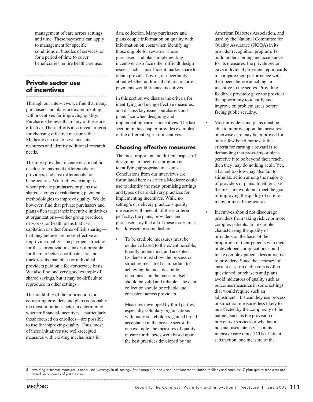management of care across settings and time. These payments can apply to management for specific conditions or bundles of services, or for a period of time to cover beneficiaries' entire healthcare use.

### **Private sector use of incentives**

Through our interviews we find that many purchasers and plans are experimenting with incentives for improving quality. Purchasers believe that many of these are effective. These efforts also reveal criteria for choosing effective measures that Medicare can use to best focus its resources and identify additional research needs.

The most prevalent incentives are public disclosure, payment differentials for providers, and cost differentials for beneficiaries. We find few examples where private purchasers or plans use shared savings or risk-sharing payment methodologies to improve quality. We do, however, find that private purchasers and plans often target their incentive initiatives at organizations—either group practices, networks, or health plans that use capitation or other forms of risk sharing that they believe are more effective at improving quality. The payment structure for these organizations makes it possible for them to better coordinate care and track results than plans or individual providers paid on a fee-for-service basis. We also find one very good example of shared savings, but it may be difficult to reproduce in other settings.

The credibility of the information for comparing providers and plans is probably the most important factor in determining whether financial incentives—particularly those focused on enrollees—are possible to use for improving quality. Thus, most of these initiatives use well-accepted measures with existing mechanisms for

data collection. Many purchasers and plans couple information on quality with information on costs when identifying those eligible for rewards. Those purchasers and plans implementing incentives also face other difficult design issues, such as insufficient market share to obtain provider buy-in, or uncertainty about whether additional dollars or current payments would finance incentives.

In this section we discuss the criteria for identifying and using effective measures, and discuss key issues purchasers and plans face when designing and implementing various incentives. The last section in this chapter provides examples of the different types of incentives.

### **Choosing effective measures**

The most important and difficult aspect of designing an incentives program is identifying appropriate measures. Conclusions from our interviews are formulated here as criteria Medicare could use to identify the most promising settings and types of care delivery practices for implementing incentives. While no setting's or delivery practice's quality measures will meet all of these criteria perfectly, the plans, providers, and purchasers say that all of these issues must be addressed in some fashion.

• To be credible, measures must be evidence based to the extent possible, broadly understood, and accepted. Evidence must show the process or structure measured is important to achieving the most desirable outcomes, and the measure itself should be valid and reliable. The data collection should be reliable and consistent across providers.

> Measures developed by third parties, especially voluntary organizations with many stakeholders, gained broad acceptance in the private sector. In one example, the measures of quality of care for diabetes were based upon the best practices developed by the

American Diabetes Association, and used by the National Committee for Quality Assurance (NCQA) in its provider recognition program. To build understanding and acceptance for its measures, the private sector gave individual providers report cards to compare their performance with their peers before attaching an incentive to the scores. Providing feedback privately gave the provider the opportunity to identify and improve on problem areas before facing public scrutiny.

- Most providers and plans must be able to improve upon the measures; otherwise care may be improved for only a few beneficiaries. If the criteria for earning a reward is so demanding that providers or plans perceive it to be beyond their reach, then they may do nothing at all. Yet, a bar set too low may also fail to stimulate action among the majority of providers or plans. In either case, the measure would not meet the goal of improving the quality of care for many or most beneficiaries.
- Incentives should not discourage providers from taking riskier or more complex patients. For example, characterizing the quality of providers on the basis of the proportion of their patients who died or developed complications could make complex patients less attractive to providers. Since the accuracy of current case-mix adjustors is often questioned, purchasers and plans avoid indicators of quality such as outcomes measures in some settings that would require such an adjustment.3 Instead they use process or structural measures less likely to be affected by the complexity of the patient, such as the provision of preventive services or whether a hospital uses intensivists in its intensive care units (ICUs). Patient satisfaction, one measure of the

<sup>3</sup> Avoiding outcomes measures is not a useful strategy in all settings. For example, dialysis and inpatient rehabilitation facilities and some M+C plan quality measures are based on outcomes of patient care.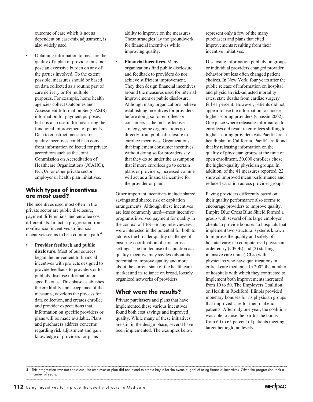outcome of care which is not as dependent on case-mix adjustment, is also widely used.

• Obtaining information to measure the quality of a plan or provider must not pose an excessive burden on any of the parties involved. To the extent possible, measures should be based on data collected as a routine part of care delivery or for multiple purposes. For example, home health agencies collect Outcomes and Assessment Information Set (OASIS) information for payment purposes, but it is also useful for measuring the functional improvement of patients. Data to construct measures for quality incentives could also come from information collected for private accreditors such as the Joint Commission on Accreditation of Healthcare Organizations (JCAHO), NCQA, or other private sector employer or health plan initiatives.

### **Which types of incentives are most used?**

The incentives used most often in the private sector are public disclosure, payment differentials, and enrollee cost differentials. In fact, a progression from nonfinancial incentives to financial incentives seems to be a common path.4

• **Provider feedback and public disclosure.** Most of our sources began the movement to financial incentives with projects designed to provide feedback to providers or to publicly disclose information on specific ones. This phase establishes the credibility and acceptance of the measures, develops the process for data collection, and creates enrollee and provider expectations that information on specific providers or plans will be made available. Plans and purchasers address concerns regarding risk adjustment and gain knowledge of providers' or plans'

ability to improve on the measures. These strategies lay the groundwork for financial incentives while improving quality.

• **Financial incentives.** Many organizations find public disclosure and feedback to providers do not achieve sufficient improvement. They then design financial incentives around the measures used for internal improvement or public disclosure. Although many organizations believe establishing incentives for providers before doing so for enrollees or consumers is the most effective strategy, some organizations go directly from public disclosure to enrollee incentives. Organizations that implement consumer incentives without doing so for providers say that they do so under the assumption that if more enrollees go to certain plans or providers, increased volume will act as a financial incentive for the provider or plan.

Other important incentives include shared savings and shared risk or capitation arrangements. Although these incentives are less commonly used—most incentive programs involved payment for quality in the context of FFS—many interviewees were interested in the potential for both to address the broader quality challenge of ensuring coordination of care across settings. The limited use of capitation as a quality incentive may say less about its potential to improve quality and more about the current state of the health care market and its reliance on broad, loosely organized networks of providers.

### **What were the results?**

Private purchasers and plans that have implemented these various incentives found both cost savings and improved quality. While many of these initiatives are still in the design phase, several have been implemented. The examples below

represent only a few of the many purchasers and plans that cited improvements resulting from their incentive initiatives.

Disclosing information publicly on groups or individual providers changed provider behavior but less often changed patient choices. In New York, four years after the public release of information on hospital and physician risk-adjusted mortality rates, state deaths from cardiac surgery fell 41 percent. However, patients did not appear to use the information to choose higher-scoring providers (Chassin 2002). One place where releasing information to enrollees did result in enrollees shifting to higher-scoring providers was PacifiCare, a health plan in California. PacifiCare found that by releasing information on the quality of physician groups at the time of open enrollment, 30,000 enrollees chose the higher-quality physician groups. In addition, of the 41 measures reported, 22 showed improved mean performance and reduced variation across provider groups.

Paying providers differently based on their quality performance also seems to encourage providers to improve quality. Empire Blue Cross Blue Shield formed a group with several of its large employer clients to provide bonuses to hospitals that implement two structural systems known to improve the quality and safety of hospital care: (1) computerized physician order entry (CPOE) and (2) staffing intensive care units (ICUs) with physicians who have qualifications in critical care medicine. In 2002 the number of hospitals with which they contracted to implement both improvements increased from 10 to 50. The Employers Coalition on Health in Rockford, Illinois provided monetary bonuses for its physician groups that improved care for their diabetic patients. After only one year, the coalition was able to raise the bar for the bonus from 60 to 65 percent of patients meeting target hemoglobin levels.



<sup>4</sup> This progression was not conscious; the employer or plan did not intend to create buy-in for the eventual goal of using financial incentives. Often the progression took a number of years.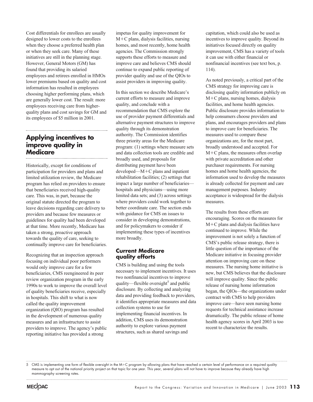Cost differentials for enrollees are usually designed to lower costs to the enrollees when they choose a preferred health plan or when they seek care. Many of these initiatives are still in the planning stage. However, General Motors (GM) has found that providing its salaried employees and retirees enrolled in HMOs lower premiums based on quality and cost information has resulted in employees choosing higher performing plans, which are generally lower cost. The result: more employees receiving care from higherquality plans and cost savings for GM and its employees of \$5 million in 2001.

### **Applying incentives to improve quality in Medicare**

Historically, except for conditions of participation for providers and plans and limited utilization review, the Medicare program has relied on providers to ensure that beneficiaries received high-quality care. This was, in part, because the original statute directed the program to leave decisions regarding care delivery to providers and because few measures or guidelines for quality had been developed at that time. More recently, Medicare has taken a strong, proactive approach towards the quality of care, seeking to continually improve care for beneficiaries.

Recognizing that an inspection approach focusing on individual poor performers would only improve care for a few beneficiaries, CMS reengineered its peer review organization program in the early 1990s to work to improve the overall level of quality beneficiaries receive, especially in hospitals. This shift to what is now called the quality improvement organization (QIO) program has resulted in the development of numerous quality measures and an infrastructure to assist providers to improve. The agency's public reporting initiative has provided a strong

impetus for quality improvement for  $M+C$  plans, dialysis facilities, nursing homes, and most recently, home health agencies. The Commission strongly supports these efforts to measure and improve care and believes CMS should continue to expand public reporting of provider quality and use of the QIOs to assist providers in improving quality.

In this section we describe Medicare's current efforts to measure and improve quality, and conclude with a recommendation that CMS explore the use of provider payment differentials and alternative payment structures to improve quality through its demonstration authority. The Commission identifies three priority areas for the Medicare program: (1) settings where measure sets and data collection tools are credible and broadly used, and proposals for distributing payment have been  $developed-M+C$  plans and inpatient rehabilitation facilities; (2) settings that impact a large number of beneficiaries hospitals and physicians—using more limited data sets; and (3) across settings where providers could work together to better coordinate care. The section ends with guidance for CMS on issues to consider in developing demonstrations, and for policymakers to consider if implementing these types of incentives more broadly.

### **Current Medicare quality efforts**

CMS is building and using the tools necessary to implement incentives. It uses two nonfinancial incentives to improve quality—flexible oversight<sup>5</sup> and public disclosure. By collecting and analyzing data and providing feedback to providers, it identifies appropriate measures and data collection systems to use for implementing financial incentives. In addition, CMS uses its demonstration authority to explore various payment structures, such as shared savings and

capitation, which could also be used as incentives to improve quality. Beyond its initiatives focused directly on quality improvement, CMS has a variety of tools it can use with either financial or nonfinancial incentives (see text box, p. 114).

As noted previously, a critical part of the CMS strategy for improving care is disclosing quality information publicly on  $M+C$  plans, nursing homes, dialysis facilities, and home health agencies. Public disclosure provides information to help consumers choose providers and plans, and encourages providers and plans to improve care for beneficiaries. The measures used to compare these organizations are, for the most part, broadly understood and accepted. For  $M+C$  plans, the measures often overlap with private accreditation and other purchaser requirements. For nursing homes and home health agencies, the information used to develop the measures is already collected for payment and care management purposes. Industry acceptance is widespread for the dialysis measures.

The results from these efforts are encouraging. Scores on the measures for  $M+C$  plans and dialysis facilities have continued to improve. While the improvement is not solely a function of CMS's public release strategy, there is little question of the importance of the Medicare initiative in focusing provider attention on improving care on these measures. The nursing home initiative is new, but CMS believes that the disclosure will improve quality. Since the public release of nursing home information began, the QIOs—the organizations under contract with CMS to help providers improve care—have seen nursing home requests for technical assistance increase dramatically. The public release of home health agency scores in April 2003 is too recent to characterize the results.

<sup>5</sup> CMS is implementing one form of flexible oversight in the M+C program by allowing plans that have reached a certain level of performance on a required quality measure to opt out of the national priority project on that topic for one year. This year, several plans will not have to improve because they already have high mammography screening rates.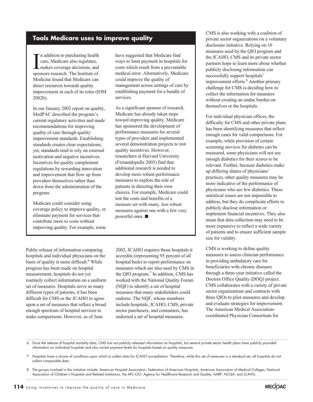**Tools Medicare uses to improve quality**

In addition to purchasing health<br>care, Medicare also regulates,<br>makes coverage decisions, and<br>sponsors research. The Institute of n addition to purchasing health care, Medicare also regulates, makes coverage decisions, and Medicine found that Medicare can direct resources towards quality improvement in each of its roles (IOM 2002b).

In our January 2002 report on quality, MedPAC described the program's current regulatory activities and made recommendations for improving quality of care through quality improvement standards. Establishing standards creates clear expectations; yet, standards tend to rely on external motivation and negative incentives. Incentives for quality complement regulations by rewarding innovation and improvement that flow up from providers themselves rather than down from the administration of the program.

Medicare could consider using coverage policy to improve quality, or eliminate payment for services that contribute more to costs without improving quality. For example, some

Public release of information comparing hospitals and individual physicians on the basis of quality is more difficult.<sup>6</sup> While progress has been made on hospital measurement, hospitals do not yet routinely collect information on a uniform set of measures. Hospitals serve so many different types of patients, it has been difficult for CMS or the JCAHO to agree upon a set of measures that reflect a broad enough spectrum of hospital services to make comparisons. However, as of June

have suggested that Medicare find ways to limit payment in hospitals for costs which result from a preventable medical error. Alternatively, Medicare could improve the quality of management across settings of care by establishing payment for a bundle of services.

As a significant sponsor of research, Medicare has already taken steps toward improving quality. Medicare has sponsored the development of performance measures for several types of providers and implemented several demonstration projects to test quality incentives. However, researchers at Harvard University (Fernandopulle 2003) find that additional research is needed to develop more robust performance measures to explore the role of patients in directing their own choices. For example, Medicare could test the costs and benefits of a measure set with many, less robust measures against one with a few very powerful ones.

2002, JCAHO requires those hospitals it accredits (representing 95 percent of all hospital beds) to report performance on measures which are also used by CMS in the QIO program.<sup>7</sup> In addition, CMS has worked with the National Quality Forum (NQF) to identify a set of hospital measures that many stakeholders could endorse. The NQF, whose members include hospitals, JCAHO, CMS, private sector purchasers, and consumers, has endorsed a set of hospital measures.

CMS is also working with a coalition of private sector organizations on a voluntary disclosure initiative. Relying on 10 measures used by the QIO program and the JCAHO, CMS and its private sector partners hope to learn more about whether publicly disclosing information can successfully support hospitals' improvement efforts.<sup>8</sup> Another primary challenge for CMS is deciding how to collect the information for measures without creating an undue burden on themselves or the hospitals.

For individual physician offices, the difficulty for CMS and other private plans has been identifying measures that reflect enough cases for valid comparisons. For example, while provision of certain screening services for diabetes can be measured, some physicians will not see enough diabetics for their scores to be relevant. Further, because diabetics make up differing shares of physicians' practices, other quality measures may be more indicative of the performance of physicians who see few diabetics. These statistical issues are not impossible to address, but they do complicate efforts to publicly disclose information or implement financial incentives. They also mean that data collection may need to be more expansive to reflect a wide variety of patients and to ensure sufficient sample size for validity.

CMS is working to define quality measures to assess clinician performance in providing ambulatory care for beneficiaries with chronic diseases through a three-year initiative called the Doctors Office Quality (DOQ) project. CMS collaborates with a variety of private sector organizations and contracts with three QIOs to pilot measures and develop and evaluate strategies for improvement. The American Medical Associationcoordinated Physician Consortium for



<sup>6</sup> Since the release of hospital mortality data, CMS has not publicly released information on hospitals, but several private sector health plans have publicly provided information on individual hospitals and also varied payment levels for hospitals based on quality measures.

<sup>7</sup> Hospitals have a choice of conditions upon which to collect data for JCAHO accreditation. Therefore, while this set of measures is a standard set, all hospitals do not collect comparable data.

<sup>8</sup> The groups involved in the initiative include: American Hospital Association, Federation of American Hospitals, American Association of Medical Colleges, National Association of Children's Hospitals and Related Institutions, the AFL–CIO, Agency for Healthcare Research and Quality, AARP, NCQA, and JCAHO.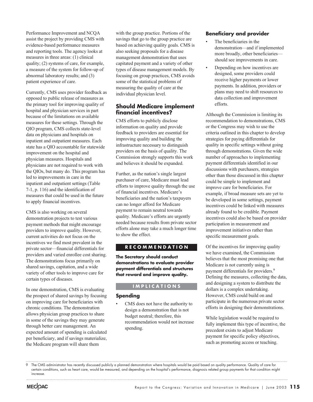Performance Improvement and NCQA assist the project by providing CMS with evidence-based performance measures and reporting tools. The agency looks at measures in three areas: (1) clinical quality; (2) systems of care, for example, a measure of the system for follow-up of abnormal laboratory results; and (3) patient experience of care.

Currently, CMS uses provider feedback as opposed to public release of measures as the primary tool for improving quality of hospital and physician services in part because of the limitations on available measures for these settings. Through the QIO program, CMS collects state-level data on physicians and hospitals on inpatient and outpatient measures. Each state has a QIO accountable for statewide improvement on the hospital and physician measures. Hospitals and physicians are not required to work with the QIOs, but many do. This program has led to improvements in care in the inpatient and outpatient settings (Table 7-1, p. 116) and the identification of measures that could be used in the future to apply financial incentives.

CMS is also working on several demonstration projects to test various payment methods that might encourage providers to improve quality. However, current activities do not focus on the incentives we find most prevalent in the private sector—financial differentials for providers and varied enrollee cost sharing. The demonstrations focus primarily on shared savings, capitation, and a wide variety of other tools to improve care for certain types of diseases.

In one demonstration, CMS is evaluating the prospect of shared savings by focusing on improving care for beneficiaries with chronic conditions. The demonstration allows physician group practices to share in some of the savings they may generate through better care management. An expected amount of spending is calculated per beneficiary, and if savings materialize, the Medicare program will share them

with the group practice. Portions of the savings that go to the group practice are based on achieving quality goals. CMS is also seeking proposals for a disease management demonstration that uses capitated payment and a variety of other types of disease management models. By focusing on group practices, CMS avoids some of the statistical problems of measuring the quality of care at the individual physician level.

### **Should Medicare implement financial incentives?**

CMS efforts to publicly disclose information on quality and provide feedback to providers are essential for improving quality and building the infrastructure necessary to distinguish providers on the basis of quality. The Commission strongly supports this work and believes it should be expanded.

Further, as the nation's single largest purchaser of care, Medicare must lead efforts to improve quality through the use of financial incentives. Medicare's beneficiaries and the nation's taxpayers can no longer afford for Medicare payment to remain neutral towards quality. Medicare's efforts are urgently needed because results from private sector efforts alone may take a much longer time to show the effect.

### **RECOMMENDATION**

**The Secretary should conduct demonstrations to evaluate provider payment differentials and structures that reward and improve quality.**

### **IMPLICATIONS**

### **Spending**

CMS does not have the authority to design a demonstration that is not budget neutral; therefore, this recommendation would not increase spending.

### **Beneficiary and provider**

- The beneficiaries in the demonstration—and if implemented more broadly, other beneficiaries should see improvements in care.
- Depending on how incentives are designed, some providers could receive higher payments or lower payments. In addition, providers or plans may need to shift resources to data collection and improvement efforts.

Although the Commission is limiting its recommendation to demonstrations, CMS or the Congress may wish to use the criteria outlined in this chapter to develop strategies for paying differentials for quality in specific settings without going through demonstrations. Given the wide number of approaches to implementing payment differentials identified in our discussions with purchasers, strategies other than those discussed in this chapter could be simple to implement and improve care for beneficiaries. For example, if broad measure sets are yet to be developed in some settings, payment incentives could be linked with measures already found to be credible. Payment incentives could also be based on provider participation in measurement and improvement initiatives rather than specific measurement goals.

Of the incentives for improving quality we have examined, the Commission believes that the most promising one that Medicare is not currently using is payment differentials for providers.<sup>9</sup> Defining the measures, collecting the data, and designing a system to distribute the dollars is a complex undertaking. However, CMS could build on and participate in the numerous private sector efforts in designing their demonstrations.

While legislation would be required to fully implement this type of incentive, the precedent exists to adjust Medicare payment for specific policy objectives, such as promoting access or teaching.

<sup>9</sup> The CMS administrator has recently discussed publicly a planned demonstration where hospitals would be paid based on quality performance. Quality of care for certain conditions, such as heart care, would be measured, and depending on the hospital's performance, diagnosis related group payments for that condition might increase.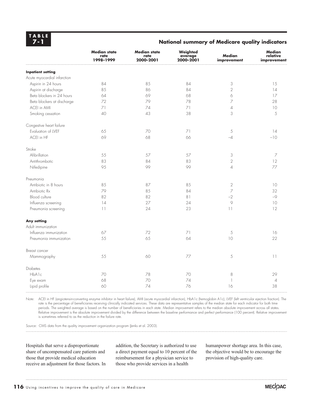**TABLE 7-1**

### **National summary of Medicare quality indicators**

|                             | <b>Median state</b><br>rate<br>1998-1999 | <b>Median state</b><br>rate<br>2000-2001 | Weighted<br>average<br>2000-2001 | <b>Median</b><br>improvement | <b>Median</b><br>relative<br>improvement |
|-----------------------------|------------------------------------------|------------------------------------------|----------------------------------|------------------------------|------------------------------------------|
| <b>Inpatient setting</b>    |                                          |                                          |                                  |                              |                                          |
| Acute myocardial infarction |                                          |                                          |                                  |                              |                                          |
| Aspirin in 24 hours         | 84                                       | 85                                       | 84                               | 3                            | 15                                       |
| Aspirin at discharge        | 85                                       | 86                                       | 84                               | $\overline{2}$               | 14                                       |
| Beta blockers in 24 hours   | 64                                       | 69                                       | 68                               | 6                            | 17                                       |
| Beta blockers at discharge  | 72                                       | 79                                       | 78                               | 7                            | 28                                       |
| ACEI in AMI                 | 71                                       | 74                                       | 71                               | $\overline{\mathcal{A}}$     | 10                                       |
| Smoking cessation           | 40                                       | 43                                       | 38                               | 3                            | 5                                        |
| Congestive heart failure    |                                          |                                          |                                  |                              |                                          |
| Evaluation of LVEF          | 65                                       | 70                                       | 71                               | $\mathcal S$                 | 14                                       |
| ACEI in HF                  | 69                                       | 68                                       | 66                               | $-4$                         | $-10$                                    |
| Stroke                      |                                          |                                          |                                  |                              |                                          |
| Afibrillation               | 55                                       | 57                                       | 57                               | 3                            | $\overline{7}$                           |
| Antithrombotic              | 83                                       | 84                                       | 83                               | $\sqrt{2}$                   | 12                                       |
| Nifedipine                  | 95                                       | 99                                       | 99                               | $\overline{\mathcal{L}}$     | 77                                       |
| Pneumonia                   |                                          |                                          |                                  |                              |                                          |
| Antibiotic in 8 hours       | 85                                       | 87                                       | 85                               | $\mathbf{2}$                 | 10                                       |
| Antibiotic Rx               | 79                                       | 85                                       | 84                               | $\overline{z}$               | 32                                       |
| Blood culture               | 82                                       | 82                                       | 81                               | $-2$                         | $-9$                                     |
| Influenza screening         | 14                                       | 27                                       | 24                               | $\circ$                      | 10                                       |
| Pneumonia screening         | $\lceil \rceil$                          | 24                                       | 23                               | $\lceil \rceil$              | 12                                       |
| <b>Any setting</b>          |                                          |                                          |                                  |                              |                                          |
| Adult immunization          |                                          |                                          |                                  |                              |                                          |
| Influenza immunization      | 67                                       | 72                                       | 71                               | 5                            | 16                                       |
| Pneumonia immunization      | 55                                       | 65                                       | 64                               | 10                           | 22                                       |
| Breast cancer               |                                          |                                          |                                  |                              |                                          |
| Mammography                 | 55                                       | 60                                       | 77                               | 5                            | $\overline{1}$                           |
| Diabetes                    |                                          |                                          |                                  |                              |                                          |
| HbAlc                       | 70                                       | 78                                       | 70                               | 8                            | 29                                       |
| Eye exam                    | 68                                       | 70                                       | 74                               |                              | $\overline{4}$                           |
| Lipid profile               | 60                                       | 74                                       | 76                               | 16                           | 38                                       |

Note: ACEI in HF (angiotensin-converting enzyme inhibitor in heart failure), AMI (acute myocardial infarction), HbA1c (hemoglobin A1c), LVEF (left ventricular ejection fraction). The rate is the percentage of beneficiaries receiving clinically indicated services. These data are representative samples of the median state for each indicator for both time periods. The weighted average is based on the number of beneficiaries in each state. Median improvement refers to the median absolute improvement across all states. Relative improvement is the absolute improvement divided by the difference between the baseline performance and perfect performance (100 percent). Relative improvement is sometimes referred to as the reduction in the failure rate.

Source: CMS data from the quality improvement organization program (Jenks et al. 2003).

Hospitals that serve a disproportionate share of uncompensated care patients and those that provide medical education receive an adjustment for those factors. In addition, the Secretary is authorized to use a direct payment equal to 10 percent of the reimbursement for a physician service to those who provide services in a health

humanpower shortage area. In this case, the objective would be to encourage the provision of high-quality care.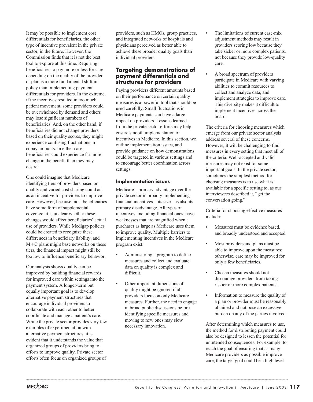It may be possible to implement cost differentials for beneficiaries, the other type of incentive prevalent in the private sector, in the future. However, the Commission finds that it is not the best tool to explore at this time. Requiring beneficiaries to pay more or less for care depending on the quality of the provider or plan is a more fundamental shift in policy than implementing payment differentials for providers. In the extreme, if the incentives resulted in too much patient movement, some providers could be overwhelmed by demand and others may lose significant numbers of beneficiaries. And, on the other hand, if beneficiaries did not change providers based on their quality scores, they might experience confusing fluctuations in copay amounts. In either case, beneficiaries could experience far more change in the benefit than they may desire.

One could imagine that Medicare identifying tiers of providers based on quality and varied cost sharing could act as an incentive for providers to improve care. However, because most beneficiaries have some form of supplemental coverage, it is unclear whether these changes would affect beneficiaries' actual use of providers. While Medigap policies could be created to recognize these differences in beneficiary liability, and  $M+C$  plans might base networks on these tiers, the financial impact might still be too low to influence beneficiary behavior.

Our analysis shows quality can be improved by building financial rewards for improved care within settings into the payment system. A longer-term but equally important goal is to develop alternative payment structures that encourage individual providers to collaborate with each other to better coordinate and manage a patient's care. While the private sector provides very few examples of experimentation with alternative payment structures, it is evident that it understands the value that organized groups of providers bring to efforts to improve quality. Private sector efforts often focus on organized groups of providers, such as HMOs, group practices, and integrated networks of hospitals and physicians perceived as better able to achieve these broader quality goals than individual providers.

### **Targeting demonstrations of payment differentials and structures for providers**

Paying providers different amounts based on their performance on certain quality measures is a powerful tool that should be used carefully. Small fluctuations in Medicare payments can have a large impact on providers. Lessons learned from the private sector efforts may help ensure smooth implementation of incentives in Medicare. In this section, we outline implementation issues, and provide guidance on how demonstrations could be targeted in various settings and to encourage better coordination across settings.

### **Implementation issues**

Medicare's primary advantage over the private sector in broadly implementing financial incentives—its size—is also its primary disadvantage. All types of incentives, including financial ones, have weaknesses that are magnified when a purchaser as large as Medicare uses them to improve quality. Multiple barriers to implementing incentives in the Medicare program exist:

- Administering a program to define measures and collect and evaluate data on quality is complex and difficult.
- Other important dimensions of quality might be ignored if all providers focus on only Medicare measures. Further, the need to engage in broad public discussions before identifying specific measures and moving to new ones may slow necessary innovation.
- The limitations of current case-mix adjustment methods may result in providers scoring low because they take sicker or more complex patients, not because they provide low-quality care.
- A broad spectrum of providers participate in Medicare with varying abilities to commit resources to collect and analyze data, and implement strategies to improve care. This diversity makes it difficult to implement incentives across the board.

The criteria for choosing measures which emerge from our private sector analysis address several of these concerns. However, it will be challenging to find measures in every setting that meet all of the criteria. Well-accepted and valid measures may not exist for some important goals. In the private sector, sometimes the simplest method for choosing measures is to use what is available for a specific setting to, as our interviewees described it, "get the conversation going."

Criteria for choosing effective measures include:

- Measures must be evidence based, and broadly understood and accepted.
- Most providers and plans must be able to improve upon the measures; otherwise, care may be improved for only a few beneficiaries.
- Chosen measures should not discourage providers from taking riskier or more complex patients.
- Information to measure the quality of a plan or provider must be reasonably obtained and not pose an excessive burden on any of the parties involved.

After determining which measures to use, the method for distributing payment could also be designed to lessen the potential for unintended consequences. For example, to reach the goal of ensuring that as many Medicare providers as possible improve care, the target goal could be a high level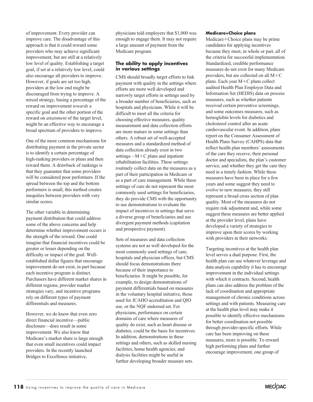of improvement. Every provider can improve care. The disadvantage of this approach is that it could reward some providers who may achieve significant improvement, but are still at a relatively low level of quality. Establishing a target goal, if set at a relatively low level, could also encourage all providers to improve. However, if goals are set too high, providers at the low end might be discouraged from trying to improve. A mixed strategy, basing a percentage of the reward on improvement *towards* a specific goal and the other portion of the reward on *attainment* of the target level, might be an effective way to encourage a broad spectrum of providers to improve.

One of the more common mechanisms for distributing payment in the private sector is to identify a certain percentage of high-ranking providers or plans and then reward them. A drawback of rankings is that they guarantee that some providers will be considered poor performers. If the spread between the top and the bottom performers is small, this method creates inequities between providers with very similar scores.

The other variable in determining payment distribution that could address some of the above concerns and help determine whether improvement occurs is the strength of the reward. One could imagine that financial incentives could be greater or lesser depending on the difficulty or impact of the goal. Wellestablished dollar figures that encourage improvement do not exist, in part because each incentive program is distinct. Purchasers have different market shares in different regions, provider market strategies vary, and incentive programs rely on different types of payment differentials and measures.

However, we do know that even zero direct financial incentive—public disclosure—does result in some improvement. We also know that Medicare's market share is large enough that even small incentives could impact providers. In the recently launched Bridges to Excellence initiative,

physicians told employers that \$1,000 was enough to engage them. It may not require a large amount of payment from the Medicare program.

### **The ability to apply incentives in various settings**

CMS should broadly target efforts to link payment with quality in the settings where efforts are more well developed and narrowly target efforts in settings used by a broader number of beneficiaries, such as hospitals and physicians. While it will be difficult to meet all the criteria for choosing effective measures, quality measurement and data collection efforts are more mature in some settings than others. A robust set of well-accepted measures and a standardized method of data collection already exist in two settings— $M+C$  plans and inpatient rehabilitation facilities. These settings routinely collect data on the measures as a part of their participation in Medicare or as a part of care management. While these settings of care do not represent the most commonly used settings for beneficiaries, they do provide CMS with the opportunity to use demonstrations to evaluate the impact of incentives in settings that serve a diverse group of beneficiaries and use divergent payment methods (capitation and prospective payment).

Sets of measures and data collection systems are not as well developed for the most commonly used settings of care, hospitals and physician offices, but CMS should focus demonstrations there because of their importance to beneficiaries. It might be possible, for example, to design demonstrations of payment differentials based on measures in the voluntary hospital initiative, those used for JCAHO accreditation and QIO use, or the NQF endorsed set. For physicians, performance on certain domains of care where measures of quality do exist, such as heart disease or diabetes, could be the basis for incentives. In addition, demonstrations in these settings and others, such as skilled nursing facilities, home health agencies, and dialysis facilities might be useful in further developing broader measure sets.

### **Medicare+Choice plans**

 $Medicare+Choice plans may be prime$ candidates for applying incentives because they meet, in whole or part, all of the criteria for successful implementation. Standardized, credible performance measures do not exist for many Medicare providers, but are collected on all  $M+C$ plans. Each year  $M+C$  plans collect audited Health Plan Employer Data and Information Set (HEDIS) data on process measures, such as whether patients received certain preventive screenings, and some outcomes measures, such as hemoglobin levels for diabetics and cholesterol control after an acute cardiovascular event. In addition, plans report on the Consumer Assessment of Health Plans Survey (CAHPS) data that reflect health plan members' assessments of the care they receive, their personal doctor and specialists, the plan's customer service, and whether they get the care they need in a timely fashion. While these measures have been in place for a few years and some suggest they need to evolve to new measures, they still represent a broad cross section of plan quality. Most of the measures do not require risk adjustment and, while some suggest these measures are better applied at the provider level, plans have developed a variety of strategies to improve upon their scores by working with providers in their networks.

Targeting incentives at the health plan level serves a dual purpose. First, the health plan can use whatever leverage and data analysis capability it has to encourage improvement in the individual settings with which it contracts. Second, health plans can also address the problem of the lack of coordination and appropriate management of chronic conditions across settings and with patients. Measuring care at the health plan level may make it possible to identify effective mechanisms for better coordination not possible through provider-specific efforts. While care has been improving on these measures, more is possible. To reward high performing plans and further encourage improvement, one group of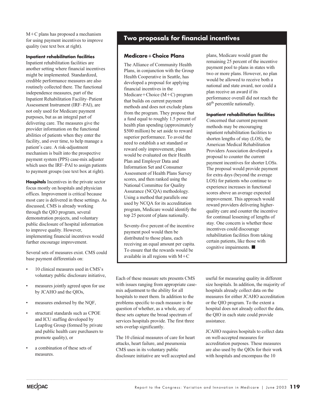$M+C$  plans has proposed a mechanism for using payment incentives to improve quality (see text box at right).

### **Inpatient rehabilitation facilities**

Inpatient rehabilitation facilities are another setting where financial incentives might be implemented. Standardized, credible performance measures are also routinely collected there. The functional independence measures, part of the Inpatient Rehabilitation Facility–Patient Assessment Instrument (IRF–PAI), are not only used for Medicare payment purposes, but as an integral part of delivering care. The measures give the provider information on the functional abilities of patients when they enter the facility, and over time, to help manage a patient's care. A risk-adjustment mechanism is built into the prospective payment system (PPS) case-mix adjuster which uses the IRF–PAI to assign patients to payment groups (see text box at right).

**Hospitals** Incentives in the private sector focus mostly on hospitals and physician offices. Improvement is critical because most care is delivered in these settings. As discussed, CMS is already working through the QIO program, several demonstration projects, and voluntary public disclosure of hospital information to improve quality. However, implementing financial incentives would further encourage improvement.

Several sets of measures exist. CMS could base payment differentials on:

- 10 clinical measures used in CMS's voluntary public disclosure initiative,
- measures jointly agreed upon for use by JCAHO and the QIOs,
- measures endorsed by the NQF,
- structural standards such as CPOE and ICU staffing developed by Leapfrog Group (formed by private and public health care purchasers to promote quality), or
- a combination of these sets of measures.

### **Two proposals for financial incentives**

### **MedicareChoice Plans**

The Alliance of Community Health Plans, in conjunction with the Group Health Cooperative in Seattle, has developed a proposal for applying financial incentives in the Medicare+Choice  $(M+C)$  program that builds on current payment methods and does not exclude plans from the program. They propose that a fund equal to roughly 1.5 percent of health plan spending (approximately \$500 million) be set aside to reward superior performance. To avoid the need to establish a set standard or reward only improvement, plans would be evaluated on their Health Plan and Employer Data and Information Set and Consumer Assessment of Health Plans Survey scores, and then ranked using the National Committee for Quality Assurance (NCQA) methodology. Using a method that parallels one used by NCQA for its accreditation program, Medicare would identify the top 25 percent of plans nationally.

Seventy-five percent of the incentive payment pool would then be distributed to those plans, each receiving an equal amount per capita. To ensure that the rewards would be available in all regions with  $M+C$ 

plans, Medicare would grant the remaining 25 percent of the incentive payment pool to plans in states with two or more plans. However, no plan would be allowed to receive both a national and state award, nor could a plan receive an award if its performance overall did not reach the 60th percentile nationally.

### **Inpatient rehabilitation facilities**

Concerned that current payment methods may be encouraging inpatient rehabilitation facilities to shorten lengths of stay (LOS), the American Medical Rehabilitation Providers Association developed a proposal to counter the current payment incentives for shorter LOSs. The proposal would provide payment for extra days (beyond the average LOS) for patients who continue to experience increases in functional scores above an average expected improvement. This approach would reward providers delivering higherquality care and counter the incentive for continual lessening of lengths of stay. One concern is whether these incentives could discourage rehabilitation facilities from taking certain patients, like those with cognitive impairments.

Each of these measure sets presents CMS with issues ranging from appropriate casemix adjustment to the ability for all hospitals to meet them. In addition to the problems specific to each measure is the question of whether, as a whole, any of these sets capture the broad spectrum of services hospitals provide. The first three sets overlap significantly.

The 10 clinical measures of care for heart attacks, heart failure, and pneumonia CMS uses in its voluntary public disclosure initiative are well accepted and useful for measuring quality in different size hospitals. In addition, the majority of hospitals already collect data on the measures for either JCAHO accreditation or the QIO program. To the extent a hospital does not already collect the data, the QIO in each state could provide assistance.

JCAHO requires hospitals to collect data on well-accepted measures for accreditation purposes. These measures are also used by the QIOs for their work with hospitals and encompass the 10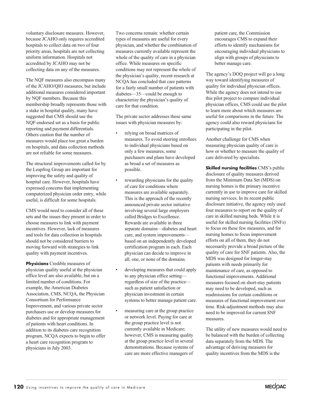voluntary disclosure measures. However, because JCAHO only requires accredited hospitals to collect data on two of four priority areas, hospitals are not collecting uniform information. Hospitals not accredited by JCAHO may not be collecting data on any of the measures.

The NQF measures also encompass many of the JCAHO/QIO measures, but include additional measures considered important by NQF members. Because this membership broadly represents those with a stake in hospital quality, many have suggested that CMS should use the NQF-endorsed set as a basis for public reporting and payment differentials. Others caution that the number of measures would place too great a burden on hospitals, and data collection methods are not reliable for some measures.

The structural improvements called for by the Leapfrog Group are important for improving the safety and quality of hospital care. However, hospitals have expressed concerns that implementing computerized physician order entry, while useful, is difficult for some hospitals.

CMS would need to consider all of these sets and the issues they present in order to choose measures to link with payment incentives. However, lack of measures and tools for data collection in hospitals should not be considered barriers to moving forward with strategies to link quality with payment incentives.

**Physicians** Credible measures of physician quality useful at the physician office level are also available, but on a limited number of conditions. For example, the American Diabetes Association, CMS, NCQA, the Physician Consortium for Performance Improvement, and various private sector purchasers use or develop measures for diabetes and for appropriate management of patients with heart conditions. In addition to its diabetes care recognition program, NCQA expects to begin to offer a heart care recognition program to physicians in July 2003.

Two concerns remain: whether certain types of measures are useful for every physician, and whether the combination of measures currently available represent the whole of the quality of care in a physician office. While measures on specific conditions may not represent the whole of the physician's quality, recent research at NCQA has concluded that care patterns for a fairly small number of patients with diabetes—35—could be enough to characterize the physician's quality of care for that condition.

The private sector addresses these same issues with physician measures by:

- relying on broad matrices of measures. To avoid steering enrollees to individual physicians based on only a few measures, some purchasers and plans have developed as broad a set of measures as possible.
- rewarding physicians for the quality of care for conditions where measures are available separately. This is the approach of the recently announced private sector initiative involving several large employers called Bridges to Excellence. Rewards are available in three separate domains—diabetes and heart care, and system improvements based on an independently developed certification program in each. Each physician can decide to improve in all, one, or none of the domains.
- developing measures that could apply to any physician office setting regardless of size of the practice such as patient satisfaction or physician investment in certain systems to better manage patient care.
- measuring care at the group practice or network level. Paying for care at the group practice level is not currently available in Medicare; however, CMS is measuring quality at the group practice level in several demonstrations. Because systems of care are more effective managers of

patient care, the Commission encourages CMS to expand their efforts to identify mechanisms for encouraging individual physicians to align with groups of physicians to better manage care.

The agency's DOQ project will go a long way toward identifying measures of quality for individual physician offices. While the agency does not intend to use this pilot project to compare individual physician offices, CMS could use the pilot to learn more about which measures are useful for comparisons in the future. The agency could also reward physicians for participating in the pilot.

Another challenge for CMS when measuring physician quality of care is how or whether to measure the quality of care delivered by specialists.

**Skilled nursing facilities** CMS's public disclosure of quality measures derived from the Minimum Data Set (MDS) on nursing homes is the primary incentive currently in use to improve care for skilled nursing services. In its recent public disclosure initiative, the agency only used four measures to report on the quality of care in skilled nursing beds. While it is useful for skilled nursing facilities (SNFs) to focus on these few measures, and for nursing homes to focus improvement efforts on all of them, they do not necessarily provide a broad picture of the quality of care for SNF patients. Also, the MDS was designed for longer-stay patients with needs primarily for maintenance of care, as opposed to functional improvements. Additional measures focused on short-stay patients may need to be developed, such as readmissions for certain conditions or measures of functional improvement over time. Risk-adjustment methods may also need to be improved for current SNF measures.

The utility of new measures would need to be balanced with the burden of collecting data separately from the MDS. The advantage of deriving measures for quality incentives from the MDS is the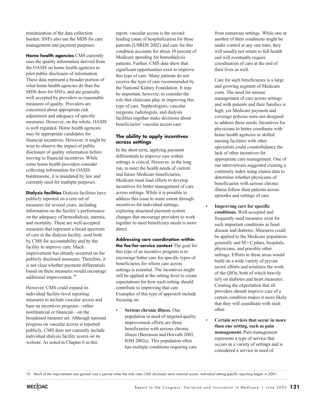minimization of the data collection burden. SNFs also use the MDS for care management and payment purposes.

**Home health agencies** CMS currently uses the quality information derived from the OASIS on home health agencies to pilot public disclosure of information. These data represent a broader portion of what home health agencies do than the MDS does for SNFs, and are generally well accepted by providers as reasonable measures of quality. Providers are concerned about appropriate risk adjustment and adequacy of specific measures. However, on the whole, OASIS is well regarded. Home health agencies may be appropriate candidates for financial incentives. However, it might be wise to observe the impact of public disclosure of quality information before moving to financial incentives. While some home health providers consider collecting information for OASIS burdensome, it is mandated by law and currently used for multiple purposes.

**Dialysis facilities** Dialysis facilities have publicly reported on a core set of measures for several years, including information on the facility's performance on the adequacy of hemodialysis, anemia, and mortality. These are well-accepted measures that represent a broad spectrum of care in the dialysis facility, used both by CMS for accountability and by the facility to improve care. Much improvement has already occurred on the publicly disclosed measures: Therefore, it is not clear whether payment differentials based on these measures would encourage additional improvement.<sup>10</sup>

However, CMS could expand its individual facility-level reporting measures to include vascular access and base an incentives program—either nonfinancial or financial—on the broadened measure set. Although national progress on vascular access is reported publicly, CMS does not currently include individual dialysis facility scores on its website. As noted in Chapter 6 in this

report, vascular access is the second leading cause of hospitalization for these patients (USRDS 2002) and care for this condition accounts for about 10 percent of Medicare spending for hemodialysis patients. Further, CMS data show that significant opportunities exist to improve this type of care. Many patients do not receive the type of care recommended by the National Kidney Foundation. It may be important, however, to consider the role that clinicians play in improving this type of care. Nephrologists, vascular surgeons, radiologists, and dialysis facilities together make decisions about beneficiaries' vascular access care.

### **The ability to apply incentives across settings**

In the short term, applying payment differentials to improve care within settings is critical. However, in the long run, to meet the health needs of current and future Medicare beneficiaries, Medicare must lead efforts to develop incentives for better management of care across settings. While it is possible to address this issue to some extent through incentives for individual settings, exploring structural payment system changes that encourage providers to work together to meet beneficiary needs is more direct.

**Addressing care coordination within the fee-for-service context** The goal for this type of an incentive program is to encourage better care for specific types of beneficiaries for whom care across settings is essential. The incentives might still be applied at the setting level to create expectations for how each setting should contribute to improving that care. Examples of this type of approach include focusing on:

• **Serious chronic illness.** One population in need of targeted quality improvement efforts are those beneficiaries with serious chronic illness (Berenson and Horvath 2003, IOM 2002a). This population often has multiple conditions requiring care

from numerous settings. While one or another of their conditions might be under control at any one time, they will usually not return to full health and will eventually require coordination of care at the end of their lives as well.

Care for such beneficiaries is a large and growing segment of Medicare costs. The need for intense management of care across settings and with patients and their families is high, yet Medicare payment and coverage policies were not designed to address these needs. Incentives for physicians to better coordinate with home health agencies or skilled nursing facilities with other specialists could counterbalance the lack of other incentives for appropriate care management. One of our interviewees suggested creating a continuity index using claims data to determine whether physicians of beneficiaries with serious chronic illness follow their patients across episodes and settings of care.

- **Improving care for specific conditions.** Well-accepted and frequently used measures exist for such important conditions as heart disease and diabetes. Measures could be applied to the Medicare population generally and  $M+C$  plans, hospitals, physicians, and possibly other settings. Efforts in these areas would build on a wide variety of private sector efforts and reinforce the work of the QIOs, both of which heavily rely on diabetes and heart measures. Creating the expectation that all providers should improve care of a certain condition makes it more likely that they will coordinate with each other.
- **Certain services that occur in more than one setting, such as pain management.** Pain management represents a type of service that occurs in a variety of settings and is considered a service in need of

<sup>10</sup> Much of the improvement was gained over a period when the only rates CMS disclosed were national scores. Individual setting-specific reporting began in 2001.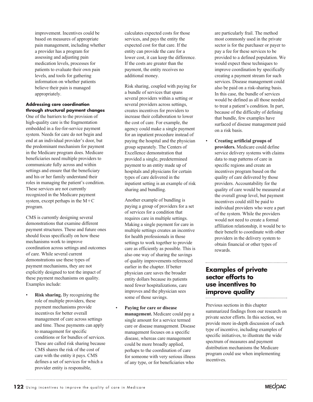improvement. Incentives could be based on measures of appropriate pain management, including whether a provider has a program for assessing and adjusting pain medication levels, processes for patients to evaluate their own pain levels, and tools for gathering information on whether patients believe their pain is managed appropriately.

### **Addressing care coordination through structural payment changes**

One of the barriers to the provision of high-quality care is the fragmentation embedded in a fee-for-service payment system. Needs for care do not begin and end at an individual provider's door, but the predominant mechanism for payment in the Medicare program does. Medicare beneficiaries need multiple providers to communicate fully across and within settings and ensure that the beneficiary and his or her family understand their roles in managing the patient's condition. These services are not currently recognized in the Medicare payment system, except perhaps in the  $M+C$ program.

CMS is currently designing several demonstrations that examine different payment structures. These and future ones should focus specifically on how these mechanisms work to improve coordination across settings and outcomes of care. While several current demonstrations use these types of payment mechanisms, they are not explicitly designed to test the impact of these payment mechanisms on quality. Examples include:

**Risk sharing.** By recognizing the role of multiple providers, these payment mechanisms provide incentives for better overall management of care across settings and time. These payments can apply to management for specific conditions or for bundles of services. These are called risk sharing because CMS shares the risk of the cost of care with the entity it pays. CMS defines a set of services for which a provider entity is responsible,

calculates expected costs for those services, and pays the entity the expected cost for that care. If the entity can provide the care for a lower cost, it can keep the difference. If the costs are greater than the payment, the entity receives no additional money.

Risk sharing, coupled with paying for a bundle of services that spans several providers within a setting or several providers across settings, creates incentives for providers to increase their collaboration to lower the cost of care. For example, the agency could make a single payment for an inpatient procedure instead of paying the hospital and the physician group separately. The Centers of Excellence demonstration that provided a single, predetermined payment to an entity made up of hospitals and physicians for certain types of care delivered in the inpatient setting is an example of risk sharing and bundling.

Another example of bundling is paying a group of providers for a set of services for a condition that requires care in multiple settings. Making a single payment for care in multiple settings creates an incentive for health professionals in those settings to work together to provide care as efficiently as possible. This is also one way of sharing the savings of quality improvements referenced earlier in the chapter. If better physician care saves the broader entity dollars because its patients need fewer hospitalizations, care improves and the physician sees some of those savings.

• **Paying for care or disease management.** Medicare could pay a single amount for a service termed care or disease management. Disease management focuses on a specific disease, whereas care management could be more broadly applied, perhaps to the coordination of care for someone with very serious illness of any type, or for beneficiaries who

are particularly frail. The method most commonly used in the private sector is for the purchaser or payer to pay a fee for these services to be provided to a defined population. We would expect these techniques to improve coordination by specifically creating a payment stream for such services. Disease management could also be paid on a risk-sharing basis. In this case, the bundle of services would be defined as all those needed to treat a patient's condition. In part, because of the difficulty of defining that bundle, few examples have surfaced of disease management paid on a risk basis.

• **Creating artificial groups of providers.** Medicare could define service delivery systems with claims data to map patterns of care in specific regions and create an incentives program based on the quality of care delivered by those providers. Accountability for the quality of care would be measured at the overall group level, but payment incentives could still be paid to individual providers who were a part of the system. While the providers would not need to create a formal affiliation relationship, it would be to their benefit to coordinate with other providers in the delivery system to obtain financial or other types of rewards.

### **Examples of private sector efforts to use incentives to improve quality**

Previous sections in this chapter summarized findings from our research on private sector efforts. In this section, we provide more in-depth discussion of each type of incentive, including examples of specific initiatives, to illustrate the wide spectrum of measures and payment distribution mechanisms the Medicare program could use when implementing incentives.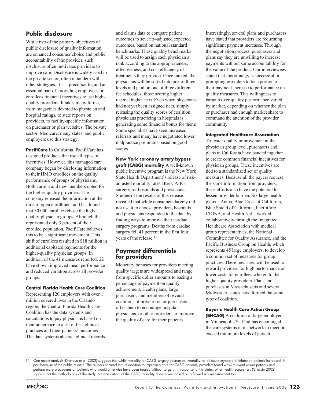### **Public disclosure**

While two of the primary objectives of public disclosure of quality information are enhanced consumer choice and public accountability of the provider, such disclosure often motivates providers to improve care. Disclosure is widely used in the private sector, often in tandem with other strategies. It is a precursor to, and an essential part of, providing employees or enrollees financial incentives to use highquality providers. It takes many forms, from magazines devoted to physician and hospital ratings, to state reports on providers, to facility-specific information on purchaser or plan websites. The private sector, Medicare, many states, and public employers use this strategy.

**PacifiCare** In California, PacifiCare has designed products that use all types of incentives. However, this managed care company began by disclosing information to their HMO enrollees on the quality performance of groups of physicians. Both current and new members opted for the higher-quality providers. The company released the information at the time of open enrollment and has found that 30,000 enrollees chose the higher quality-physician groups. Although this represented only 3 percent of their enrolled population, PacifiCare believes this to be a significant movement. This shift of enrollees resulted in \$18 million in additional capitated payments for the higher-quality physician groups. In addition, of the 41 measures reported, 22 have shown improved mean performance and reduced variation across all provider groups.

### **Central Florida Health Care Coalition**

Representing 120 employers with over 1 million covered lives in the Orlando region, the Central Florida Health Care Coalition has the data systems and calculations to pay physicians based on their adherence to a set of best clinical practices and their patients' outcomes. The data systems abstract clinical records

and claims data to compare patient outcomes to severity-adjusted expected outcomes, based on national standard benchmarks. These quality benchmarks will be used to assign each physician a rank according to the appropriateness, effectiveness, and cost efficiency of treatments they provide. Once ranked, the physicians will be sorted into one of three levels and paid on one of three different fee schedules; those scoring higher receive higher fees. Even when physicians had not yet been assigned tiers, simply releasing the quality scores of coalition physicians practicing in hospitals is generating some financial bonus for them: Some specialists have seen increased referrals and many have negotiated lower malpractice premiums based on good scores.

**New York coronary artery bypass graft (CABG) mortality** A well-known public incentive program is the New York State Health Department's release of riskadjusted mortality rates after CABG surgery for hospitals and physicians. Studies of the results of this release revealed that while consumers largely did not use it to choose providers, hospitals and physicians responded to the data by finding ways to improve their cardiac surgery programs. Deaths from cardiac surgery fell 41 percent in the first four years of the release.<sup>11</sup>

### **Payment differentials for providers**

Monetary bonuses for providers meeting quality targets are widespread and range from specific dollar amounts to basing a percentage of payment on quality achievement. Health plans, large purchasers, and members of several coalitions of private-sector purchasers offer them to encourage hospitals, physicians, or other providers to improve the quality of care for their patients.

Interestingly, several plans and purchasers have stated that providers are requesting significant payment increases. Through the negotiation process, purchasers and plans say they are unwilling to increase payments without some accountability for the value of the product. Our interviewees stated that this strategy is successful in prompting providers to tie a portion of their payment increase to performance on quality measures. This willingness to bargain over quality performance varied by market, depending on whether the plan or purchaser had enough market share to command the attention of the provider community.

### **Integrated Healthcare Association**

To foster quality improvement at the physician group level, purchasers and plans in California have banded together to create common financial incentives for physician groups. These incentives are tied to a standardized set of quality measures. Because all the payers request the same information from providers, these efforts also have the potential to lessen provider burden. Six large health plans—Aetna, Blue Cross of California, Blue Shield of California, PacifiCare, CIGNA, and Health Net—worked collaboratively through the Integrated Healthcare Association with medical group representatives, the National Committee for Quality Assurance, and the Pacific Business Group on Health, which represents 45 large employers, to develop a common set of measures for group practices. These measures will be used to reward providers for high performance or lower costs for enrollees who go to the higher-quality providers. Plans and purchases in Massachusetts and several Midwestern states have formed the same type of coalition.

**Buyer's Health Care Action Group (BHCAG)** A coalition of large employers in Minneapolis/St. Paul has encouraged the care systems in its network to meet or exceed minimum levels of patient

11 One recent analysis (Dranove et al. 2002) suggests that while mortality for CABG surgery decreased, mortality for all acute myocardial infarction patients increased, in part because of the public release. The authors contend that in addition to improving care for CABG patients, providers found ways to avoid riskier patients and perform more procedures on patients who would otherwise have been treated without surgery. In response to this claim, other health researchers (Chassin 2002) suggest that the methodology of the study that was critical of the CABG mortality release was based on a flawed risk measurement tool.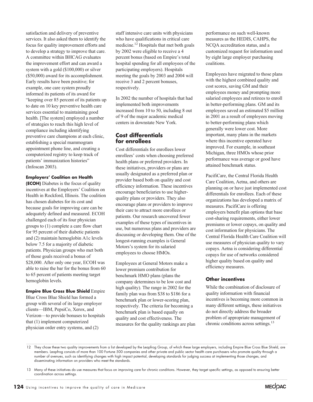satisfaction and delivery of preventive services. It also asked them to identify the focus for quality improvement efforts and to develop a strategy to improve that care. A committee within BHCAG evaluates the improvement effort and can award a system with a gold (\$100,000) or silver (\$50,000) award for its accomplishment. Early results have been positive; for example, one care system proudly informed its patients of its award for "keeping over 85 percent of its patients up to date on 10 key preventive health care services essential to maintaining good health. [The system] employed a number of strategies to reach this high level of compliance including identifying preventive care champions at each clinic, establishing a special mammogram appointment phone line, and creating a computerized registry to keep track of patients' immunization histories" (Infoscan 2003).

### **Employers' Coalition on Health**

**(ECOH)** Diabetes is the focus of quality incentives at the Employers' Coalition on Health in Rockford, Illinois. The coalition has chosen diabetes for its cost and because goals for improving care can be adequately defined and measured. ECOH challenged each of its four physician groups to (1) complete a care flow chart for 95 percent of their diabetic patients and (2) maintain hemoglobin A1c levels below 7.5 for a majority of diabetic patients. Physician groups who met both of those goals received a bonus of \$28,000. After only one year, ECOH was able to raise the bar for the bonus from 60 to 65 percent of patients meeting target hemoglobin levels.

**Empire Blue Cross Blue Shield** Empire Blue Cross Blue Shield has formed a group with several of its large employer clients—IBM, PepsiCo, Xerox, and Verizon—to provide bonuses to hospitals that (1) implement computerized physician order entry systems, and (2)

staff intensive care units with physicians who have qualifications in critical care medicine.12 Hospitals that met both goals by 2002 were eligible to receive a 4 percent bonus (based on Empire's total hospital spending for all employees of the participating employers). Hospitals meeting the goals by 2003 and 2004 will receive 3 and 2 percent bonuses, respectively.

In 2002 the number of hospitals that had implemented both improvements increased from 10 to 50, including 8 out of 9 of the major academic medical centers in downstate New York.

### **Cost differentials for enrollees**

Cost differentials for enrollees lower enrollees' costs when choosing preferred health plans or preferred providers. In these initiatives, providers or plans are usually designated as a preferred plan or provider based both on quality and cost efficiency information. These incentives encourage beneficiaries to use higherquality plans or providers. They also encourage plans or providers to improve their care to attract more enrollees or patients. Our research uncovered fewer examples of these types of incentives in use, but numerous plans and providers are discussing or developing them. One of the longest-running examples is General Motors's system for its salaried employees to choose HMOs.

Employees at General Motors make a lower premium contribution for benchmark HMO plans (plans the company determines to be low cost and high quality). The range in 2002 for the family plan was from \$38 to \$186 for a benchmark plan or lower-scoring plan, respectively. The criteria for becoming a benchmark plan is based equally on quality and cost effectiveness. The measures for the quality rankings are plan

performance on such well-known measures as the HEDIS, CAHPS, the NCQA accreditation status, and a customized request for information used by eight large employer purchasing coalitions.

Employees have migrated to those plans with the highest combined quality and cost scores, saving GM and their employees money and prompting more salaried employees and retirees to enroll in better-performing plans. GM and its employees saved an estimated \$5 million in 2001 as a result of employees moving to better-performing plans which generally were lower cost. More important, many plans in the markets where this incentive operated have improved. For example, in southeast Michigan, three HMOs whose prior performance was average or good have attained benchmark status.

PacifiCare, the Central Florida Health Care Coalition, Aetna, and others are planning on or have just implemented cost differentials for enrollees. Each of these organizations has developed a matrix of measures. PacifiCare is offering employers benefit plan options that base cost-sharing requirements, either lower premiums or lower copays, on quality and cost information for physicians. The Central Florida Health Care Coalition will use measures of physician quality to vary copays. Aetna is considering differential copays for use of networks considered higher quality based on quality and efficiency measures.

### **Other incentives**

While the combination of disclosure of quality information with financial incentives is becoming more common in many different settings, these initiatives do not directly address the broader problem of appropriate management of chronic conditions across settings.<sup>13</sup>



<sup>12</sup> They chose these two quality improvements from a list developed by the Leapfrog Group, of which these large employers, including Empire Blue Cross Blue Shield, are members. Leapfrog consists of more than 100 Fortune 500 companies and other private and public sector health care purchasers who promote quality through a number of avenues, such as identifying changes with high impact potential, developing standards for judging success at implementing those changes, and disseminating information on providers who meet the standards.

<sup>13</sup> Many of these initiatives do use measures that focus on improving care for chronic conditions. However, they target specific settings, as opposed to ensuring better coordination across settings.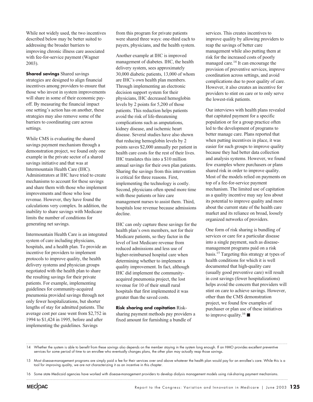While not widely used, the two incentives described below may be better suited to addressing the broader barriers to improving chronic illness care associated with fee-for-service payment (Wagner 2003).

**Shared savings** Shared savings strategies are designed to align financial incentives among providers to ensure that those who invest in system improvements will share in some of their economic payoff. By measuring the financial impact one setting's action has on another, these strategies may also remove some of the barriers to coordinating care across settings.

While CMS is evaluating the shared savings payment mechanism through a demonstration project, we found only one example in the private sector of a shared savings initiative and that was at Intermountain Health Care (IHC). Administrators at IHC have tried to create mechanisms to account for these savings and share them with those who implement improvements and those who lose revenue. However, they have found the calculations very complex. In addition, the inability to share savings with Medicare limits the number of conditions for generating net savings.

Intermountain Health Care is an integrated system of care including physicians, hospitals, and a health plan. To provide an incentive for providers to implement protocols to improve quality, the health delivery systems and physician groups negotiated with the health plan to share the resulting savings for their private patients. For example, implementing guidelines for community-acquired pneumonia provided savings through not only fewer hospitalizations, but shorter lengths of stay for admitted patients. The average cost per case went from \$2,752 in 1994 to \$1,424 in 1995, before and after implementing the guidelines. Savings

from this program for private patients were shared three ways: one-third each to payers, physicians, and the health system.

Another example at IHC is improved management of diabetes. IHC, the health delivery system, sees approximately 30,000 diabetic patients, 13,000 of whom are IHC's own health plan members. Through implementing an electronic decision support system for their physicians, IHC decreased hemoglobin levels by 2 points for 5,200 of those patients. This reduction helps patients avoid the risk of life-threatening complications such as amputations, kidney disease, and ischemic heart disease. Several studies have also shown that reducing hemoglobin levels by 2 points saves \$2,000 annually per patient in health care costs for the rest of their lives. IHC translates this into a \$10 million annual savings for their own plan patients. Sharing the savings from this intervention is critical for three reasons. First, implementing the technology is costly. Second, physicians often spend more time with these patients or hire care management nurses to assist them. Third, hospitals lose revenue because admissions decline.

IHC can only capture these savings for the health plan's own members, not for their Medicare patients, so they factor in the level of lost Medicare revenue from reduced admissions and less use of higher-reimbursed hospital care when determining whether to implement a quality improvement. In fact, although IHC did implement the communityacquired pneumonia project, the lost revenue for 10 of their small rural hospitals that first implemented it was greater than the saved costs.

**Risk sharing and capitation** Risksharing payment methods pay providers a fixed amount for furnishing a bundle of

services. This creates incentives to improve quality by allowing providers to reap the savings of better care management while also putting them at risk for the increased costs of poorly managed care.<sup>14</sup> It can encourage the provision of preventive services, improve coordination across settings, and avoid complications due to poor quality of care. However, it also creates an incentive for providers to stint on care or to only serve the lowest-risk patients.

Our interviews with health plans revealed that capitated payment for a specific population or for a group practice often led to the development of programs to better manage care. Plans reported that when putting incentives in place, it was easier for such groups to improve quality because they had better data collection and analysis systems. However, we found few examples where purchasers or plans shared risk in order to improve quality. Most of the models relied on payments on top of a fee-for-service payment mechanism. The limited use of capitation as a quality incentive may say less about its potential to improve quality and more about the current state of the health care market and its reliance on broad, loosely organized networks of providers.

One form of risk sharing is bundling of services or care for a particular disease into a single payment, such as diseasemanagement programs paid on a risk basis.15 Targeting this strategy at types of health conditions for which it is well documented that high-quality care (usually good preventive care) will result in cost savings (fewer hospitalizations) helps avoid the concern that providers will stint on care to achieve savings. However, other than the CMS demonstration project, we found few examples of purchaser or plan use of these initiatives to improve quality.<sup>16</sup>

<sup>14</sup> Whether the system is able to benefit from these savings also depends on the member staying in the system long enough. If an HMO provides excellent preventive services for some period of time to an enrollee who eventually changes plans, the other plan may actually reap those savings.

<sup>15</sup> Most disease-management programs are simply paid a fee for their services over and above whatever the health plan would pay for an enrollee's care. While this is a tool for improving quality, we are not characterizing it as an incentive in this chapter.

<sup>16</sup> Some state Medicaid agencies have worked with disease-management providers to develop dialysis management models using risk-sharing payment mechanisms.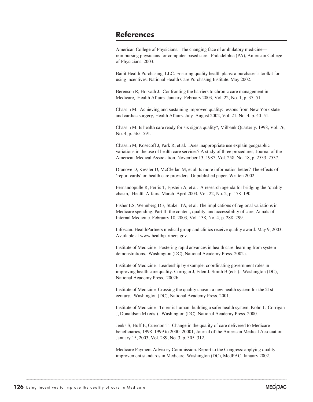## **References**

American College of Physicians. The changing face of ambulatory medicine reimbursing physicians for computer-based care. Philadelphia (PA), American College of Physicians. 2003.

Bailit Health Purchasing, LLC. Ensuring quality health plans: a purchaser's toolkit for using incentives. National Health Care Purchasing Institute. May 2002.

Berenson R, Horvath J. Confronting the barriers to chronic care management in Medicare, Health Affairs. January–February 2003, Vol. 22, No. 1, p. 37–51.

Chassin M. Achieving and sustaining improved quality: lessons from New York state and cardiac surgery, Health Affairs. July–August 2002, Vol. 21, No. 4, p. 40–51.

Chassin M. Is health care ready for six sigma quality?, Milbank Quarterly. 1998, Vol. 76, No. 4, p. 565–591.

Chassin M, Kosecoff J, Park R, et al. Does inappropriate use explain geographic variations in the use of health care services? A study of three procedures, Journal of the American Medical Association. November 13, 1987, Vol. 258, No. 18, p. 2533–2537.

Dranove D, Kessler D, McClellan M, et al. Is more information better? The effects of 'report cards' on health care providers. Unpublished paper. Written 2002.

Fernandopulle R, Ferris T, Epstein A, et al. A research agenda for bridging the 'quality chasm,' Health Affairs. March–April 2003, Vol. 22, No. 2, p. 178–190.

Fisher ES, Wennberg DE, Stukel TA, et al. The implications of regional variations in Medicare spending. Part II: the content, quality, and accessibility of care, Annals of Internal Medicine. February 18, 2003, Vol. 138, No. 4, p. 288–299.

Infoscan. HealthPartners medical group and clinics receive quality award. May 9, 2003. Available at www.healthpartners.gov.

Institute of Medicine. Fostering rapid advances in health care: learning from system demonstrations. Washington (DC), National Academy Press. 2002a.

Institute of Medicine. Leadership by example: coordinating government roles in improving health care quality. Corrigan J, Eden J, Smith B (eds.). Washington (DC), National Academy Press. 2002b.

Institute of Medicine. Crossing the quality chasm: a new health system for the 21st century. Washington (DC), National Academy Press. 2001.

Institute of Medicine. To err is human: building a safer health system. Kohn L, Corrigan J, Donaldson M (eds.). Washington (DC), National Academy Press. 2000.

Jenks S, Huff E, Cuerdon T. Change in the quality of care delivered to Medicare beneficiaries, 1998–1999 to 2000–20001, Journal of the American Medical Association. January 15, 2003, Vol. 289, No. 3, p. 305–312.

Medicare Payment Advisory Commission. Report to the Congress: applying quality improvement standards in Medicare. Washington (DC), MedPAC. January 2002.